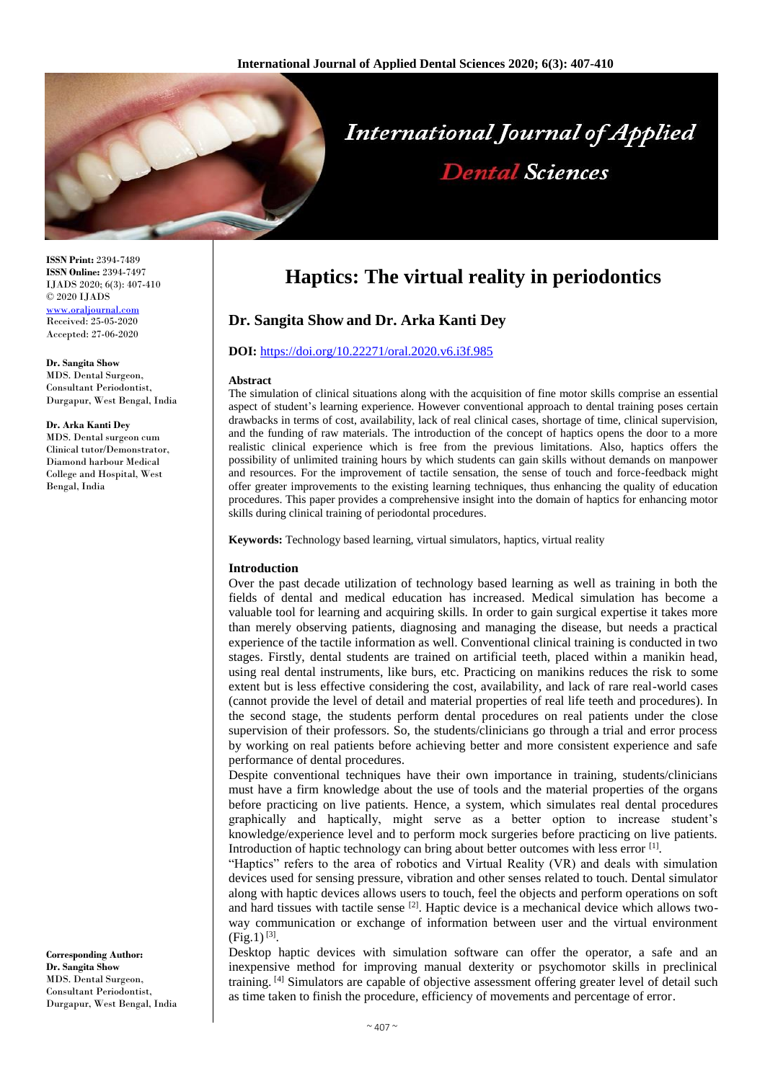

**ISSN Print:** 2394-7489 **ISSN Online:** 2394-7497 IJADS 2020; 6(3): 407-410 © 2020 IJADS [www.oraljournal.com](http://www.oraljournal.com/) Received: 25-05-2020 Accepted: 27-06-2020

**Dr. Sangita Show** MDS. Dental Surgeon, Consultant Periodontist, Durgapur, West Bengal, India

#### **Dr. Arka Kanti Dey**

MDS. Dental surgeon cum Clinical tutor/Demonstrator, Diamond harbour Medical College and Hospital, West Bengal, India

**Corresponding Author: Dr. Sangita Show** MDS. Dental Surgeon, Consultant Periodontist, Durgapur, West Bengal, India

# **Haptics: The virtual reality in periodontics**

# **Dr. Sangita Show and Dr. Arka Kanti Dey**

## **DOI:** <https://doi.org/10.22271/oral.2020.v6.i3f.985>

#### **Abstract**

The simulation of clinical situations along with the acquisition of fine motor skills comprise an essential aspect of student's learning experience. However conventional approach to dental training poses certain drawbacks in terms of cost, availability, lack of real clinical cases, shortage of time, clinical supervision, and the funding of raw materials. The introduction of the concept of haptics opens the door to a more realistic clinical experience which is free from the previous limitations. Also, haptics offers the possibility of unlimited training hours by which students can gain skills without demands on manpower and resources. For the improvement of tactile sensation, the sense of touch and force-feedback might offer greater improvements to the existing learning techniques, thus enhancing the quality of education procedures. This paper provides a comprehensive insight into the domain of haptics for enhancing motor skills during clinical training of periodontal procedures.

**Keywords:** Technology based learning, virtual simulators, haptics, virtual reality

### **Introduction**

Over the past decade utilization of technology based learning as well as training in both the fields of dental and medical education has increased. Medical simulation has become a valuable tool for learning and acquiring skills. In order to gain surgical expertise it takes more than merely observing patients, diagnosing and managing the disease, but needs a practical experience of the tactile information as well. Conventional clinical training is conducted in two stages. Firstly, dental students are trained on artificial teeth, placed within a manikin head, using real dental instruments, like burs, etc. Practicing on manikins reduces the risk to some extent but is less effective considering the cost, availability, and lack of rare real-world cases (cannot provide the level of detail and material properties of real life teeth and procedures). In the second stage, the students perform dental procedures on real patients under the close supervision of their professors. So, the students/clinicians go through a trial and error process by working on real patients before achieving better and more consistent experience and safe performance of dental procedures.

Despite conventional techniques have their own importance in training, students/clinicians must have a firm knowledge about the use of tools and the material properties of the organs before practicing on live patients. Hence, a system, which simulates real dental procedures graphically and haptically, might serve as a better option to increase student's knowledge/experience level and to perform mock surgeries before practicing on live patients. Introduction of haptic technology can bring about better outcomes with less error [1].

"Haptics" refers to the area of robotics and Virtual Reality (VR) and deals with simulation devices used for sensing pressure, vibration and other senses related to touch. Dental simulator along with haptic devices allows users to touch, feel the objects and perform operations on soft and hard tissues with tactile sense  $^{[2]}$ . Haptic device is a mechanical device which allows twoway communication or exchange of information between user and the virtual environment  $(Fig.1)^{[3]}$ .

Desktop haptic devices with simulation software can offer the operator, a safe and an inexpensive method for improving manual dexterity or psychomotor skills in preclinical training. [4] Simulators are capable of objective assessment offering greater level of detail such as time taken to finish the procedure, efficiency of movements and percentage of error.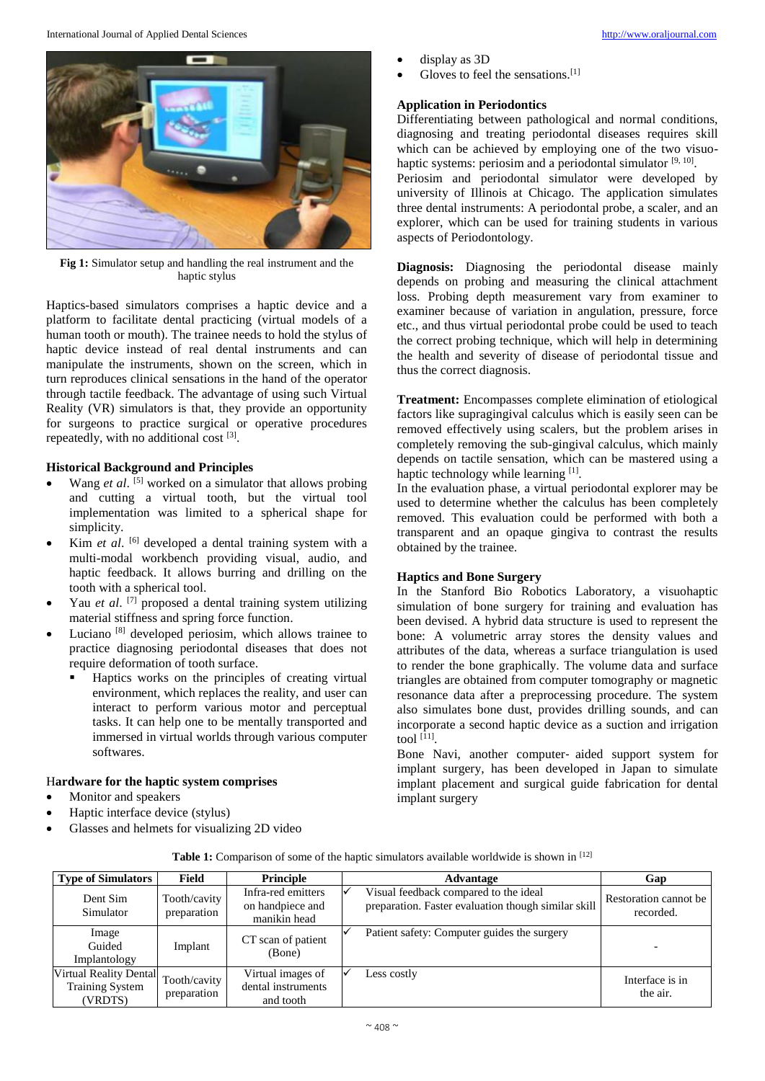

**Fig 1:** Simulator setup and handling the real instrument and the haptic stylus

Haptics-based simulators comprises a haptic device and a platform to facilitate dental practicing (virtual models of a human tooth or mouth). The trainee needs to hold the stylus of haptic device instead of real dental instruments and can manipulate the instruments, shown on the screen, which in turn reproduces clinical sensations in the hand of the operator through tactile feedback. The advantage of using such Virtual Reality (VR) simulators is that, they provide an opportunity for surgeons to practice surgical or operative procedures repeatedly, with no additional cost [3].

# **Historical Background and Principles**

- Wang *et al.* <sup>[5]</sup> worked on a simulator that allows probing and cutting a virtual tooth, but the virtual tool implementation was limited to a spherical shape for simplicity.
- Kim *et al.* <sup>[6]</sup> developed a dental training system with a multi-modal workbench providing visual, audio, and haptic feedback. It allows burring and drilling on the tooth with a spherical tool.
- Yau *et al.* <sup>[7]</sup> proposed a dental training system utilizing material stiffness and spring force function.
- Luciano [8] developed periosim, which allows trainee to practice diagnosing periodontal diseases that does not require deformation of tooth surface.
	- Haptics works on the principles of creating virtual environment, which replaces the reality, and user can interact to perform various motor and perceptual tasks. It can help one to be mentally transported and immersed in virtual worlds through various computer softwares.

# H**ardware for the haptic system comprises**

- Monitor and speakers
- Haptic interface device (stylus)
- Glasses and helmets for visualizing 2D video
- display as 3D
- Gloves to feel the sensations.<sup>[1]</sup>

# **Application in Periodontics**

Differentiating between pathological and normal conditions, diagnosing and treating periodontal diseases requires skill which can be achieved by employing one of the two visuohaptic systems: periosim and a periodontal simulator [9, 10].

Periosim and periodontal simulator were developed by university of Illinois at Chicago. The application simulates three dental instruments: A periodontal probe, a scaler, and an explorer, which can be used for training students in various aspects of Periodontology.

**Diagnosis:** Diagnosing the periodontal disease mainly depends on probing and measuring the clinical attachment loss. Probing depth measurement vary from examiner to examiner because of variation in angulation, pressure, force etc., and thus virtual periodontal probe could be used to teach the correct probing technique, which will help in determining the health and severity of disease of periodontal tissue and thus the correct diagnosis.

**Treatment:** Encompasses complete elimination of etiological factors like supragingival calculus which is easily seen can be removed effectively using scalers, but the problem arises in completely removing the sub-gingival calculus, which mainly depends on tactile sensation, which can be mastered using a haptic technology while learning [1].

In the evaluation phase, a virtual periodontal explorer may be used to determine whether the calculus has been completely removed. This evaluation could be performed with both a transparent and an opaque gingiva to contrast the results obtained by the trainee.

# **Haptics and Bone Surgery**

In the Stanford Bio Robotics Laboratory, a visuohaptic simulation of bone surgery for training and evaluation has been devised. A hybrid data structure is used to represent the bone: A volumetric array stores the density values and attributes of the data, whereas a surface triangulation is used to render the bone graphically. The volume data and surface triangles are obtained from computer tomography or magnetic resonance data after a preprocessing procedure. The system also simulates bone dust, provides drilling sounds, and can incorporate a second haptic device as a suction and irrigation tool [11] .

Bone Navi, another computer- aided support system for implant surgery, has been developed in Japan to simulate implant placement and surgical guide fabrication for dental implant surgery

| <b>Type of Simulators</b>                                          | Field                         | Principle                                              | Advantage                                                                                    | Gap                                |
|--------------------------------------------------------------------|-------------------------------|--------------------------------------------------------|----------------------------------------------------------------------------------------------|------------------------------------|
| Dent Sim<br>Simulator                                              | Tooth/cavity  <br>preparation | Infra-red emitters<br>on handpiece and<br>manikin head | Visual feedback compared to the ideal<br>preparation. Faster evaluation though similar skill | Restoration cannot be<br>recorded. |
| Image<br>Guided<br>Implantology                                    | Implant                       | CT scan of patient<br>(Bone)                           | Patient safety: Computer guides the surgery                                                  |                                    |
| <b>Virtual Reality Dental</b><br><b>Training System</b><br>(VRDTS) | Tooth/cavity<br>preparation   | Virtual images of<br>dental instruments<br>and tooth   | Less costly                                                                                  | Interface is in<br>the air.        |

**Table 1:** Comparison of some of the haptic simulators available worldwide is shown in [12]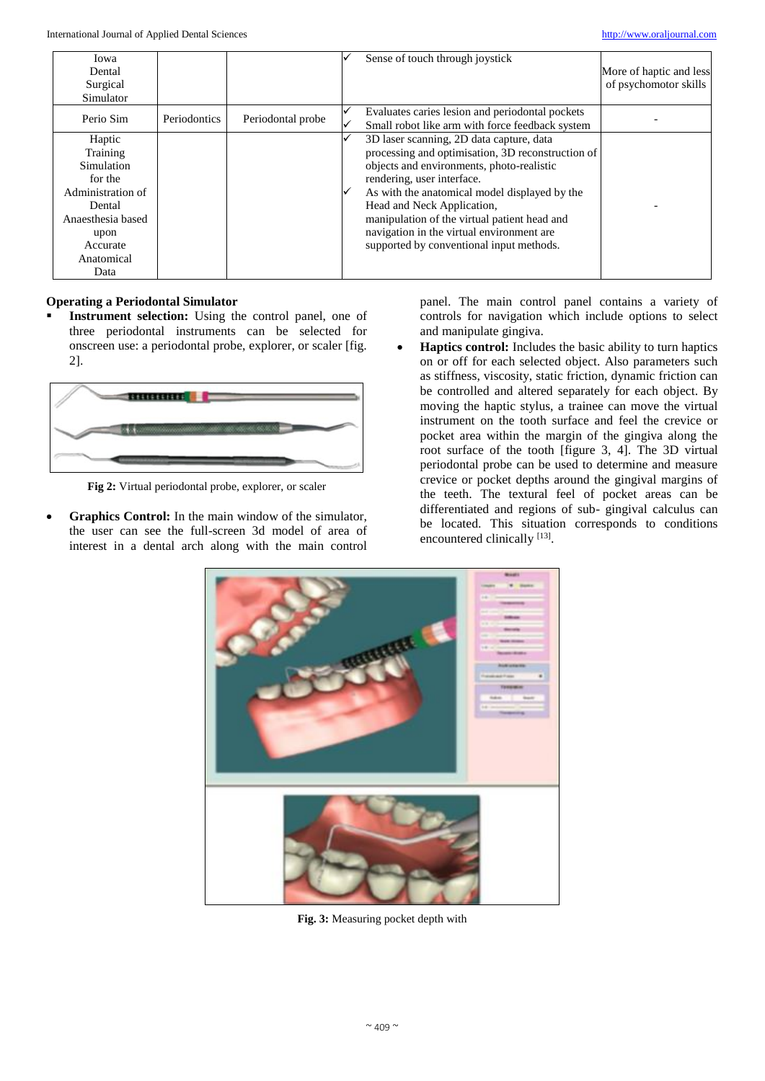| Iowa<br>Dental<br>Surgical<br>Simulator |              |                   | Sense of touch through joystick                                                                    | More of haptic and less<br>of psychomotor skills |
|-----------------------------------------|--------------|-------------------|----------------------------------------------------------------------------------------------------|--------------------------------------------------|
| Perio Sim                               | Periodontics | Periodontal probe | Evaluates caries lesion and periodontal pockets<br>Small robot like arm with force feedback system |                                                  |
| Haptic                                  |              |                   | 3D laser scanning, 2D data capture, data                                                           |                                                  |
| Training                                |              |                   | processing and optimisation, 3D reconstruction of                                                  |                                                  |
| Simulation                              |              |                   | objects and environments, photo-realistic                                                          |                                                  |
| for the                                 |              |                   | rendering, user interface.                                                                         |                                                  |
| Administration of                       |              |                   | As with the anatomical model displayed by the                                                      |                                                  |
| Dental                                  |              |                   | Head and Neck Application,                                                                         |                                                  |
| Anaesthesia based                       |              |                   | manipulation of the virtual patient head and                                                       |                                                  |
| upon                                    |              |                   | navigation in the virtual environment are                                                          |                                                  |
| Accurate                                |              |                   | supported by conventional input methods.                                                           |                                                  |
| Anatomical                              |              |                   |                                                                                                    |                                                  |
| Data                                    |              |                   |                                                                                                    |                                                  |

# **Operating a Periodontal Simulator**

 **Instrument selection:** Using the control panel, one of three periodontal instruments can be selected for onscreen use: a periodontal probe, explorer, or scaler [fig. 2].



**Fig 2:** Virtual periodontal probe, explorer, or scaler

 **Graphics Control:** In the main window of the simulator, the user can see the full-screen 3d model of area of interest in a dental arch along with the main control

panel. The main control panel contains a variety of controls for navigation which include options to select and manipulate gingiva.

 **Haptics control:** Includes the basic ability to turn haptics on or off for each selected object. Also parameters such as stiffness, viscosity, static friction, dynamic friction can be controlled and altered separately for each object. By moving the haptic stylus, a trainee can move the virtual instrument on the tooth surface and feel the crevice or pocket area within the margin of the gingiva along the root surface of the tooth [figure 3, 4]. The 3D virtual periodontal probe can be used to determine and measure crevice or pocket depths around the gingival margins of the teeth. The textural feel of pocket areas can be differentiated and regions of sub- gingival calculus can be located. This situation corresponds to conditions encountered clinically [13].



**Fig. 3:** Measuring pocket depth with